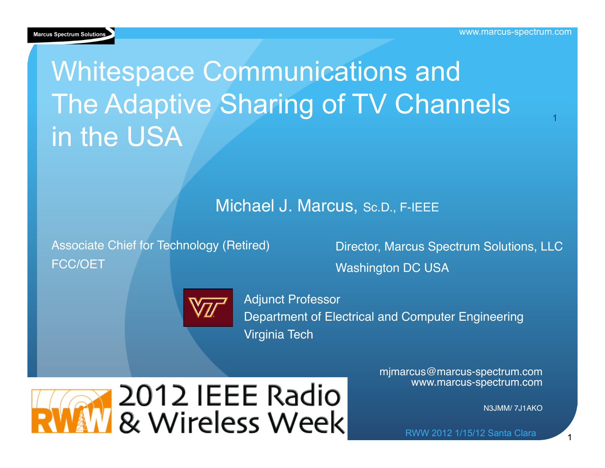

# Whitespace Communications and The Adaptive Sharing of TV Channels in the USA

#### Michael J. Marcus, Sc.D., F-IEEE

Associate Chief for Technology (Retired) FCC/OET

Director, Marcus Spectrum Solutions, LLC Washington DC USA



Adjunct Professor Department of Electrical and Computer Engineering Virginia Tech

2012 IEEE Radio & Wireless Week mjmarcus@marcus-spectrum.com www.marcus-spectrum.com

N3JMM/ 7J1AKO

RWW 2012 1/15/12 Santa Clara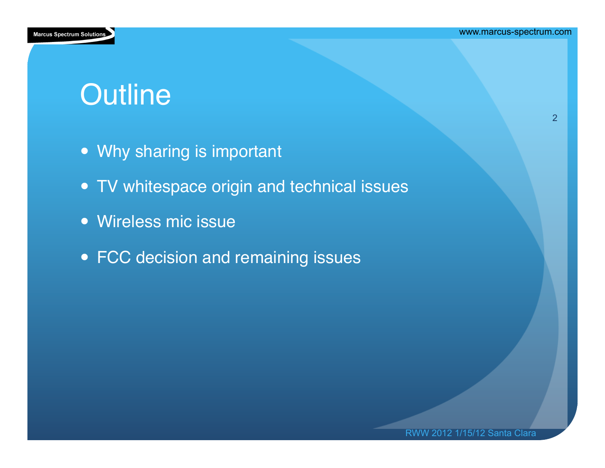

# **Outline**

- Why sharing is important
- TV whitespace origin and technical issues
- Wireless mic issue
- FCC decision and remaining issues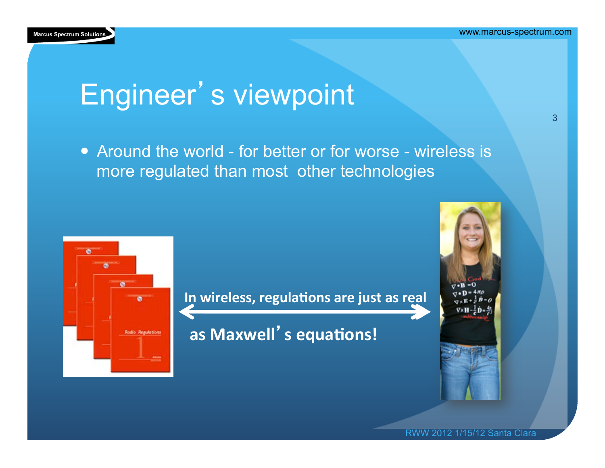

# Engineer's viewpoint

• Around the world - for better or for worse - wireless is more regulated than most other technologies



In wireless, regulations are just as real **<u>•</u>** 

**as Maxwell's equations!** 



RWW 2012 1/15/12 Santa Clara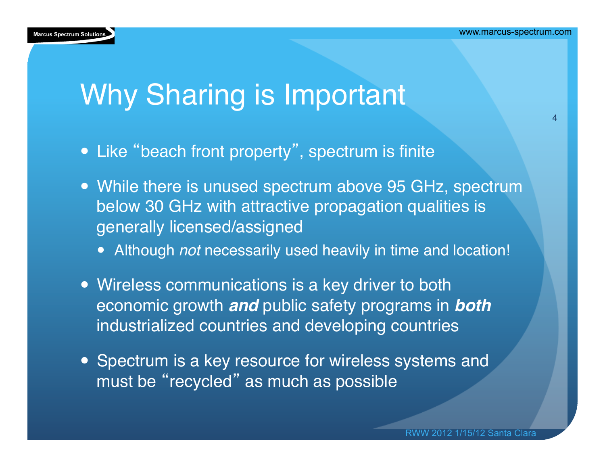

# Why Sharing is Important

- Like "beach front property", spectrum is finite
- While there is unused spectrum above 95 GHz, spectrum below 30 GHz with attractive propagation qualities is generally licensed/assigned
	- Although *not* necessarily used heavily in time and location!
- Wireless communications is a key driver to both economic growth *and* public safety programs in *both*  industrialized countries and developing countries
- Spectrum is a key resource for wireless systems and must be "recycled" as much as possible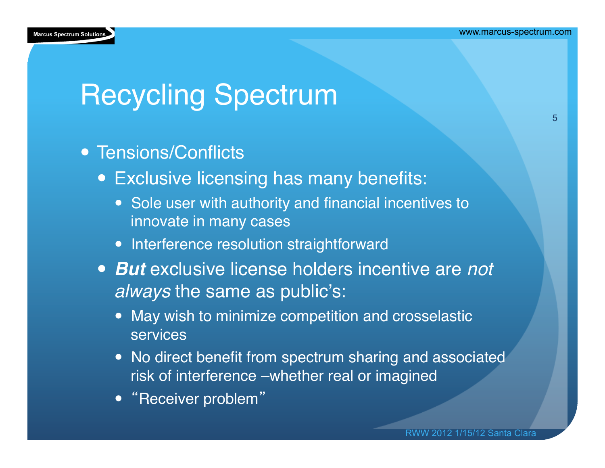

# Recycling Spectrum

- Tensions/Conflicts
	- Exclusive licensing has many benefits:
		- Sole user with authority and financial incentives to innovate in many cases
		- Interference resolution straightforward
	- *But* exclusive license holders incentive are *not always* the same as public's:
		- May wish to minimize competition and crosselastic services
		- No direct benefit from spectrum sharing and associated risk of interference –whether real or imagined
		- "Receiver problem"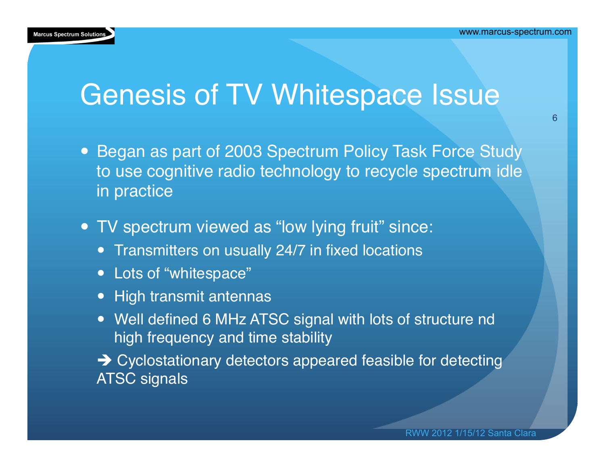

#### Genesis of TV Whitespace Issue

- Began as part of 2003 Spectrum Policy Task Force Study to use cognitive radio technology to recycle spectrum idle in practice
- TV spectrum viewed as "low lying fruit" since:
	- **Transmitters on usually 24/7 in fixed locations**
	- Lots of "whitespace"
	- High transmit antennas
	- Well defined 6 MHz ATSC signal with lots of structure nd high frequency and time stability
	- → Cyclostationary detectors appeared feasible for detecting ATSC signals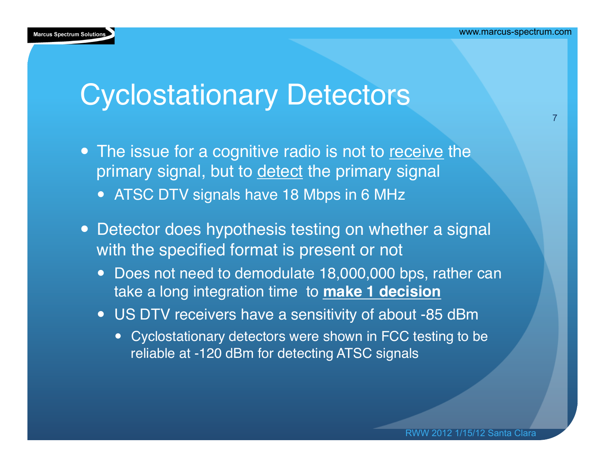

#### Cyclostationary Detectors

- The issue for a cognitive radio is not to receive the primary signal, but to detect the primary signal
	- ATSC DTV signals have 18 Mbps in 6 MHz
- Detector does hypothesis testing on whether a signal with the specified format is present or not
	- Does not need to demodulate 18,000,000 bps, rather can take a long integration time to **make 1 decision**
	- US DTV receivers have a sensitivity of about -85 dBm
		- Cyclostationary detectors were shown in FCC testing to be reliable at -120 dBm for detecting ATSC signals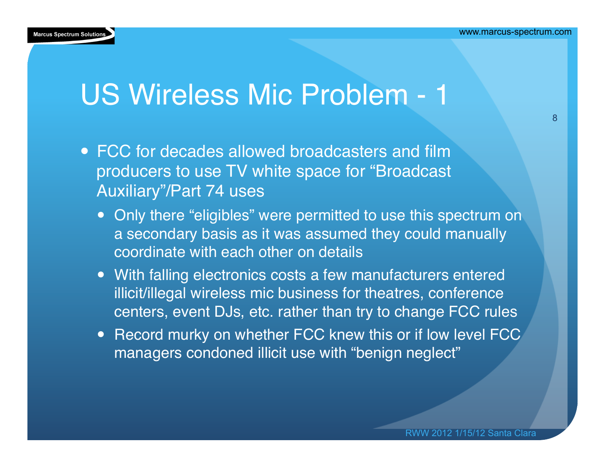# US Wireless Mic Problem - 1

- FCC for decades allowed broadcasters and film producers to use TV white space for "Broadcast Auxiliary"/Part 74 uses
	- Only there "eligibles" were permitted to use this spectrum on a secondary basis as it was assumed they could manually coordinate with each other on details
	- With falling electronics costs a few manufacturers entered illicit/illegal wireless mic business for theatres, conference centers, event DJs, etc. rather than try to change FCC rules
	- Record murky on whether FCC knew this or if low level FCC managers condoned illicit use with "benign neglect"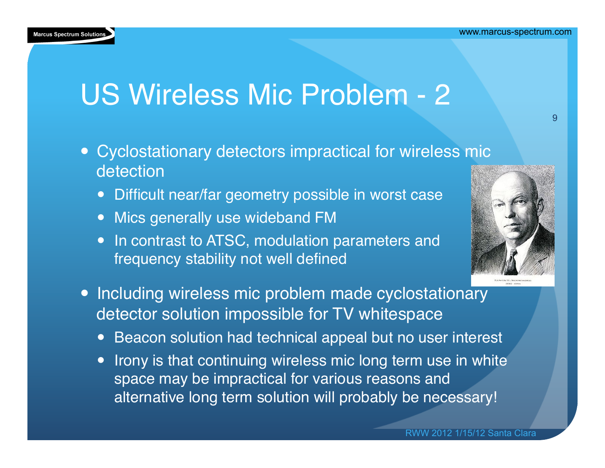#### **Marcus Spectrum Solutions**

# US Wireless Mic Problem - 2

- Cyclostationary detectors impractical for wireless mic detection
	- Difficult near/far geometry possible in worst case
	- Mics generally use wideband FM
	- In contrast to ATSC, modulation parameters and frequency stability not well defined
- Including wireless mic problem made cyclostationary detector solution impossible for TV whitespace
	- Beacon solution had technical appeal but no user interest
	- Irony is that continuing wireless mic long term use in white space may be impractical for various reasons and alternative long term solution will probably be necessary!



9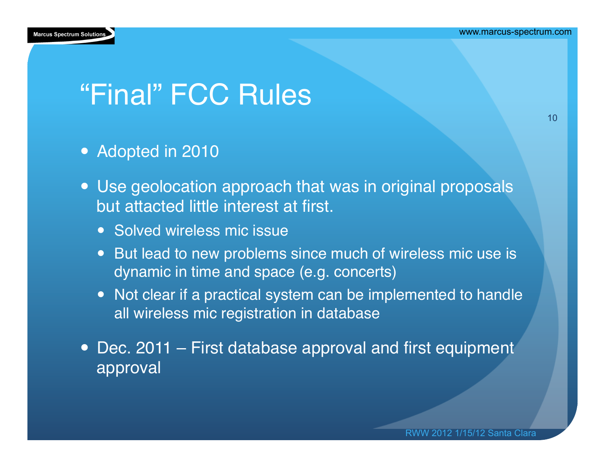

# "Final" FCC Rules

- Adopted in 2010
- Use geolocation approach that was in original proposals but attacted little interest at first.
	- Solved wireless mic issue
	- But lead to new problems since much of wireless mic use is dynamic in time and space (e.g. concerts)
	- Not clear if a practical system can be implemented to handle all wireless mic registration in database
- Dec. 2011 First database approval and first equipment approval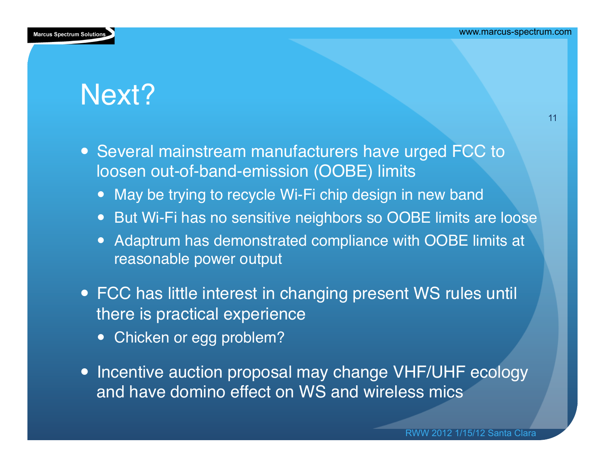

## Next?

11

- Several mainstream manufacturers have urged FCC to loosen out-of-band-emission (OOBE) limits
	- May be trying to recycle Wi-Fi chip design in new band
	- But Wi-Fi has no sensitive neighbors so OOBE limits are loose
	- Adaptrum has demonstrated compliance with OOBE limits at reasonable power output
- FCC has little interest in changing present WS rules until there is practical experience
	- Chicken or egg problem?
- Incentive auction proposal may change VHF/UHF ecology and have domino effect on WS and wireless mics